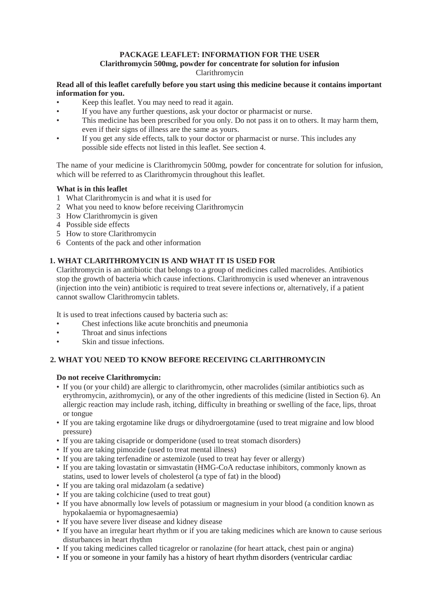# **PACKAGE LEAFLET: INFORMATION FOR THE USER**

# **Clarithromycin 500mg, powder for concentrate for solution for infusion**

Clarithromycin

# **Read all of this leaflet carefully before you start using this medicine because it contains important information for you.**

- Keep this leaflet. You may need to read it again.
- If you have any further questions, ask your doctor or pharmacist or nurse.
- This medicine has been prescribed for you only. Do not pass it on to others. It may harm them, even if their signs of illness are the same as yours.
- If you get any side effects, talk to your doctor or pharmacist or nurse. This includes any possible side effects not listed in this leaflet. See section 4.

The name of your medicine is Clarithromycin 500mg, powder for concentrate for solution for infusion, which will be referred to as Clarithromycin throughout this leaflet.

# **What is in this leaflet**

- 1 What Clarithromycin is and what it is used for
- 2 What you need to know before receiving Clarithromycin
- 3 How Clarithromycin is given
- 4 Possible side effects
- 5 How to store Clarithromycin
- 6 Contents of the pack and other information

# **1. WHAT CLARITHROMYCIN IS AND WHAT IT IS USED FOR**

Clarithromycin is an antibiotic that belongs to a group of medicines called macrolides. Antibiotics stop the growth of bacteria which cause infections. Clarithromycin is used whenever an intravenous (injection into the vein) antibiotic is required to treat severe infections or, alternatively, if a patient cannot swallow Clarithromycin tablets.

It is used to treat infections caused by bacteria such as:

- Chest infections like acute bronchitis and pneumonia
- Throat and sinus infections
- Skin and tissue infections.

# **2. WHAT YOU NEED TO KNOW BEFORE RECEIVING CLARITHROMYCIN**

# **Do not receive Clarithromycin:**

- If you (or your child) are allergic to clarithromycin, other macrolides (similar antibiotics such as erythromycin, azithromycin), or any of the other ingredients of this medicine (listed in Section 6). An allergic reaction may include rash, itching, difficulty in breathing or swelling of the face, lips, throat or tongue
- If you are taking ergotamine like drugs or dihydroergotamine (used to treat migraine and low blood pressure)
- If you are taking cisapride or domperidone (used to treat stomach disorders)
- If you are taking pimozide (used to treat mental illness)
- If you are taking terfenadine or astemizole (used to treat hay fever or allergy)
- If you are taking lovastatin or simvastatin (HMG-CoA reductase inhibitors, commonly known as statins, used to lower levels of cholesterol (a type of fat) in the blood)
- If you are taking oral midazolam (a sedative)
- If you are taking colchicine (used to treat gout)
- If you have abnormally low levels of potassium or magnesium in your blood (a condition known as hypokalaemia or hypomagnesaemia)
- If you have severe liver disease and kidney disease
- If you have an irregular heart rhythm or if you are taking medicines which are known to cause serious disturbances in heart rhythm
- If you taking medicines called ticagrelor or ranolazine (for heart attack, chest pain or angina)
- If you or someone in your family has a history of heart rhythm disorders (ventricular cardiac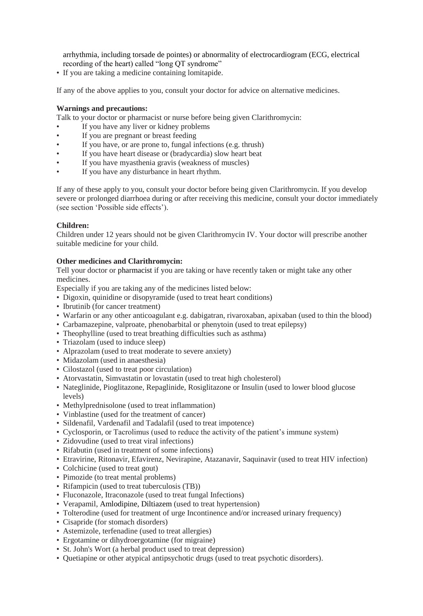arrhythmia, including torsade de pointes) or abnormality of electrocardiogram (ECG, electrical recording of the heart) called "long QT syndrome"

• If you are taking a medicine containing lomitapide.

If any of the above applies to you, consult your doctor for advice on alternative medicines.

#### **Warnings and precautions:**

Talk to your doctor or pharmacist or nurse before being given Clarithromycin:

- If you have any liver or kidney problems
- If you are pregnant or breast feeding
- If you have, or are prone to, fungal infections (e.g. thrush)
- If you have heart disease or (bradycardia) slow heart beat
- If you have myasthenia gravis (weakness of muscles)
- If you have any disturbance in heart rhythm.

If any of these apply to you, consult your doctor before being given Clarithromycin. If you develop severe or prolonged diarrhoea during or after receiving this medicine, consult your doctor immediately (see section 'Possible side effects').

#### **Children:**

Children under 12 years should not be given Clarithromycin IV. Your doctor will prescribe another suitable medicine for your child.

# **Other medicines and Clarithromycin:**

Tell your doctor or pharmacist if you are taking or have recently taken or might take any other medicines.

Especially if you are taking any of the medicines listed below:

- Digoxin, quinidine or disopyramide (used to treat heart conditions)
- Ibrutinib (for cancer treatment)
- Warfarin or any other anticoagulant e.g. dabigatran, rivaroxaban, apixaban (used to thin the blood)
- Carbamazepine, valproate, phenobarbital or phenytoin (used to treat epilepsy)
- Theophylline (used to treat breathing difficulties such as asthma)
- Triazolam (used to induce sleep)
- Alprazolam (used to treat moderate to severe anxiety)
- Midazolam (used in anaesthesia)
- Cilostazol (used to treat poor circulation)
- Atorvastatin, Simvastatin or lovastatin (used to treat high cholesterol)
- Nateglinide, Pioglitazone, Repaglinide, Rosiglitazone or Insulin (used to lower blood glucose levels)
- Methylprednisolone (used to treat inflammation)
- Vinblastine (used for the treatment of cancer)
- Sildenafil, Vardenafil and Tadalafil (used to treat impotence)
- Cyclosporin, or Tacrolimus (used to reduce the activity of the patient's immune system)
- Zidovudine (used to treat viral infections)
- Rifabutin (used in treatment of some infections)
- Etravirine, Ritonavir, Efavirenz, Nevirapine, Atazanavir, Saquinavir (used to treat HIV infection)
- Colchicine (used to treat gout)
- Pimozide (to treat mental problems)
- Rifampicin (used to treat tuberculosis (TB))
- Fluconazole, Itraconazole (used to treat fungal Infections)
- Verapamil, Amlodipine, Diltiazem (used to treat hypertension)
- Tolterodine (used for treatment of urge Incontinence and/or increased urinary frequency)
- Cisapride (for stomach disorders)
- Astemizole, terfenadine (used to treat allergies)
- Ergotamine or dihydroergotamine (for migraine)
- St. John's Wort (a herbal product used to treat depression)
- Quetiapine or other atypical antipsychotic drugs (used to treat psychotic disorders).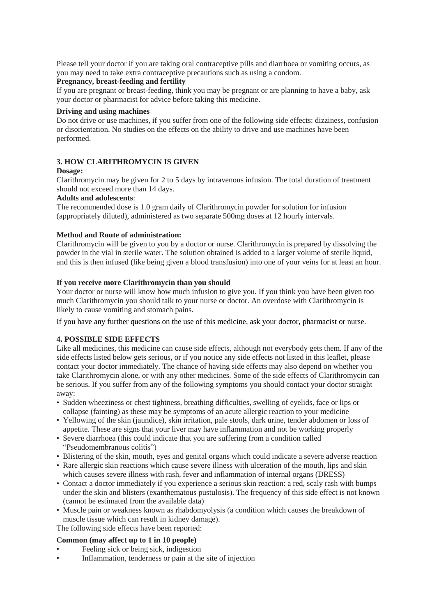Please tell your doctor if you are taking oral contraceptive pills and diarrhoea or vomiting occurs, as you may need to take extra contraceptive precautions such as using a condom.

#### **Pregnancy, breast-feeding and fertility**

If you are pregnant or breast-feeding, think you may be pregnant or are planning to have a baby, ask your doctor or pharmacist for advice before taking this medicine.

# **Driving and using machines**

Do not drive or use machines, if you suffer from one of the following side effects: dizziness, confusion or disorientation. No studies on the effects on the ability to drive and use machines have been performed.

# **3. HOW CLARITHROMYCIN IS GIVEN**

#### **Dosage:**

Clarithromycin may be given for 2 to 5 days by intravenous infusion. The total duration of treatment should not exceed more than 14 days.

#### **Adults and adolescents**:

The recommended dose is 1.0 gram daily of Clarithromycin powder for solution for infusion (appropriately diluted), administered as two separate 500mg doses at 12 hourly intervals.

# **Method and Route of administration:**

Clarithromycin will be given to you by a doctor or nurse. Clarithromycin is prepared by dissolving the powder in the vial in sterile water. The solution obtained is added to a larger volume of sterile liquid, and this is then infused (like being given a blood transfusion) into one of your veins for at least an hour.

# **If you receive more Clarithromycin than you should**

Your doctor or nurse will know how much infusion to give you. If you think you have been given too much Clarithromycin you should talk to your nurse or doctor. An overdose with Clarithromycin is likely to cause vomiting and stomach pains.

If you have any further questions on the use of this medicine, ask your doctor, pharmacist or nurse.

# **4. POSSIBLE SIDE EFFECTS**

Like all medicines, this medicine can cause side effects, although not everybody gets them. If any of the side effects listed below gets serious, or if you notice any side effects not listed in this leaflet, please contact your doctor immediately. The chance of having side effects may also depend on whether you take Clarithromycin alone, or with any other medicines. Some of the side effects of Clarithromycin can be serious. If you suffer from any of the following symptoms you should contact your doctor straight away:

- Sudden wheeziness or chest tightness, breathing difficulties, swelling of eyelids, face or lips or collapse (fainting) as these may be symptoms of an acute allergic reaction to your medicine
- Yellowing of the skin (jaundice), skin irritation, pale stools, dark urine, tender abdomen or loss of appetite. These are signs that your liver may have inflammation and not be working properly
- Severe diarrhoea (this could indicate that you are suffering from a condition called "Pseudomembranous colitis")
- Blistering of the skin, mouth, eyes and genital organs which could indicate a severe adverse reaction
- Rare allergic skin reactions which cause severe illness with ulceration of the mouth, lips and skin which causes severe illness with rash, fever and inflammation of internal organs (DRESS)
- Contact a doctor immediately if you experience a serious skin reaction: a red, scaly rash with bumps under the skin and blisters (exanthematous pustulosis). The frequency of this side effect is not known (cannot be estimated from the available data)
- Muscle pain or weakness known as rhabdomyolysis (a condition which causes the breakdown of muscle tissue which can result in kidney damage).

The following side effects have been reported:

# **Common (may affect up to 1 in 10 people)**

- Feeling sick or being sick, indigestion
- Inflammation, tenderness or pain at the site of injection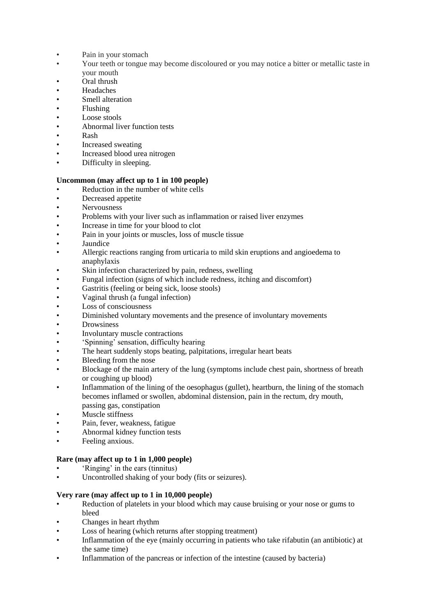- Pain in your stomach
- Your teeth or tongue may become discoloured or you may notice a bitter or metallic taste in your mouth
- Oral thrush
- **Headaches**
- Smell alteration
- Flushing
- Loose stools
- Abnormal liver function tests
- Rash
- Increased sweating
- Increased blood urea nitrogen
- Difficulty in sleeping.

# **Uncommon (may affect up to 1 in 100 people)**

- Reduction in the number of white cells
- Decreased appetite
- Nervousness
- Problems with your liver such as inflammation or raised liver enzymes
- Increase in time for your blood to clot
- Pain in your joints or muscles, loss of muscle tissue
- **Jaundice**
- Allergic reactions ranging from urticaria to mild skin eruptions and angioedema to anaphylaxis
- Skin infection characterized by pain, redness, swelling
- Fungal infection (signs of which include redness, itching and discomfort)
- Gastritis (feeling or being sick, loose stools)
- Vaginal thrush (a fungal infection)
- Loss of consciousness
- Diminished voluntary movements and the presence of involuntary movements
- **Drowsiness**
- Involuntary muscle contractions
- 'Spinning' sensation, difficulty hearing
- The heart suddenly stops beating, palpitations, irregular heart beats
- Bleeding from the nose
- Blockage of the main artery of the lung (symptoms include chest pain, shortness of breath or coughing up blood)
- Inflammation of the lining of the oesophagus (gullet), heartburn, the lining of the stomach becomes inflamed or swollen, abdominal distension, pain in the rectum, dry mouth, passing gas, constipation
- Muscle stiffness
- Pain, fever, weakness, fatigue
- Abnormal kidney function tests
- Feeling anxious.

# **Rare (may affect up to 1 in 1,000 people)**

- 'Ringing' in the ears (tinnitus)
- Uncontrolled shaking of your body (fits or seizures).

# **Very rare (may affect up to 1 in 10,000 people)**

- Reduction of platelets in your blood which may cause bruising or your nose or gums to bleed
- Changes in heart rhythm
- Loss of hearing (which returns after stopping treatment)
- Inflammation of the eye (mainly occurring in patients who take rifabutin (an antibiotic) at the same time)
- Inflammation of the pancreas or infection of the intestine (caused by bacteria)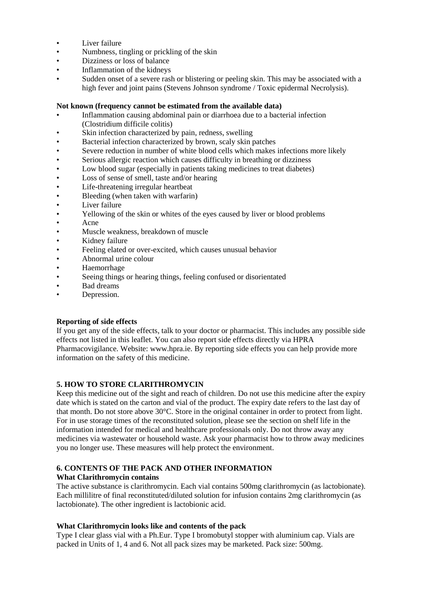- Liver failure
- Numbness, tingling or prickling of the skin
- Dizziness or loss of balance
- Inflammation of the kidneys
- Sudden onset of a severe rash or blistering or peeling skin. This may be associated with a high fever and joint pains (Stevens Johnson syndrome / Toxic epidermal Necrolysis).

# **Not known (frequency cannot be estimated from the available data)**

- Inflammation causing abdominal pain or diarrhoea due to a bacterial infection (Clostridium difficile colitis)
- Skin infection characterized by pain, redness, swelling
- Bacterial infection characterized by brown, scaly skin patches
- Severe reduction in number of white blood cells which makes infections more likely
- Serious allergic reaction which causes difficulty in breathing or dizziness
- Low blood sugar (especially in patients taking medicines to treat diabetes)
- Loss of sense of smell, taste and/or hearing
- Life-threatening irregular heartbeat
- Bleeding (when taken with warfarin)
- Liver failure
- Yellowing of the skin or whites of the eyes caused by liver or blood problems
- Acne
- Muscle weakness, breakdown of muscle
- Kidney failure
- Feeling elated or over-excited, which causes unusual behavior
- Abnormal urine colour
- Haemorrhage
- Seeing things or hearing things, feeling confused or disorientated
- Bad dreams
- Depression.

# **Reporting of side effects**

If you get any of the side effects, talk to your doctor or pharmacist. This includes any possible side effects not listed in this leaflet. You can also report side effects directly via HPRA Pharmacovigilance. Website: www.hpra.ie. By reporting side effects you can help provide more information on the safety of this medicine.

# **5. HOW TO STORE CLARITHROMYCIN**

Keep this medicine out of the sight and reach of children. Do not use this medicine after the expiry date which is stated on the carton and vial of the product. The expiry date refers to the last day of that month. Do not store above 30°C. Store in the original container in order to protect from light. For in use storage times of the reconstituted solution, please see the section on shelf life in the information intended for medical and healthcare professionals only. Do not throw away any medicines via wastewater or household waste. Ask your pharmacist how to throw away medicines you no longer use. These measures will help protect the environment.

#### **6. CONTENTS OF THE PACK AND OTHER INFORMATION What Clarithromycin contains**

The active substance is clarithromycin. Each vial contains 500mg clarithromycin (as lactobionate). Each millilitre of final reconstituted/diluted solution for infusion contains 2mg clarithromycin (as lactobionate). The other ingredient is lactobionic acid.

# **What Clarithromycin looks like and contents of the pack**

Type I clear glass vial with a Ph.Eur. Type I bromobutyl stopper with aluminium cap. Vials are packed in Units of 1, 4 and 6. Not all pack sizes may be marketed. Pack size: 500mg.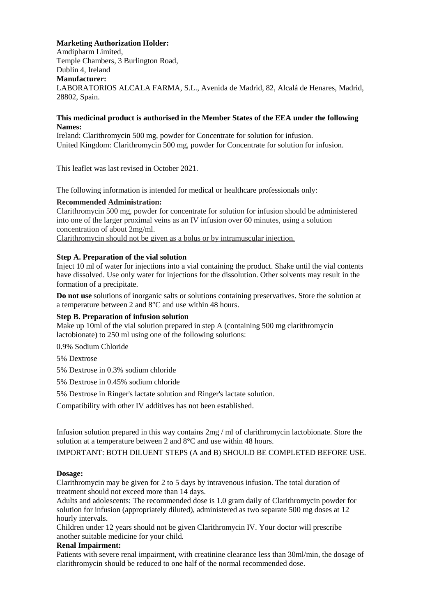#### **Marketing Authorization Holder:**

Amdipharm Limited, Temple Chambers, 3 Burlington Road, Dublin 4, Ireland **Manufacturer:**  LABORATORIOS ALCALA FARMA, S.L., Avenida de Madrid, 82, Alcalá de Henares, Madrid, 28802, Spain.

#### **This medicinal product is authorised in the Member States of the EEA under the following Names:**

Ireland: Clarithromycin 500 mg, powder for Concentrate for solution for infusion. United Kingdom: Clarithromycin 500 mg, powder for Concentrate for solution for infusion.

This leaflet was last revised in October 2021.

The following information is intended for medical or healthcare professionals only:

#### **Recommended Administration:**

Clarithromycin 500 mg, powder for concentrate for solution for infusion should be administered into one of the larger proximal veins as an IV infusion over 60 minutes, using a solution concentration of about 2mg/ml.

Clarithromycin should not be given as a bolus or by intramuscular injection.

#### **Step A. Preparation of the vial solution**

Inject 10 ml of water for injections into a vial containing the product. Shake until the vial contents have dissolved. Use only water for injections for the dissolution. Other solvents may result in the formation of a precipitate.

**Do not use** solutions of inorganic salts or solutions containing preservatives. Store the solution at a temperature between 2 and 8°C and use within 48 hours.

# **Step B. Preparation of infusion solution**

Make up 10ml of the vial solution prepared in step A (containing 500 mg clarithromycin lactobionate) to 250 ml using one of the following solutions:

0.9% Sodium Chloride

- 5% Dextrose
- 5% Dextrose in 0.3% sodium chloride
- 5% Dextrose in 0.45% sodium chloride
- 5% Dextrose in Ringer's lactate solution and Ringer's lactate solution.

Compatibility with other IV additives has not been established.

Infusion solution prepared in this way contains 2mg / ml of clarithromycin lactobionate. Store the solution at a temperature between 2 and 8°C and use within 48 hours.

IMPORTANT: BOTH DILUENT STEPS (A and B) SHOULD BE COMPLETED BEFORE USE.

# **Dosage:**

Clarithromycin may be given for 2 to 5 days by intravenous infusion. The total duration of treatment should not exceed more than 14 days.

Adults and adolescents: The recommended dose is 1.0 gram daily of Clarithromycin powder for solution for infusion (appropriately diluted), administered as two separate 500 mg doses at 12 hourly intervals.

Children under 12 years should not be given Clarithromycin IV. Your doctor will prescribe another suitable medicine for your child.

#### **Renal Impairment:**

Patients with severe renal impairment, with creatinine clearance less than 30ml/min, the dosage of clarithromycin should be reduced to one half of the normal recommended dose.